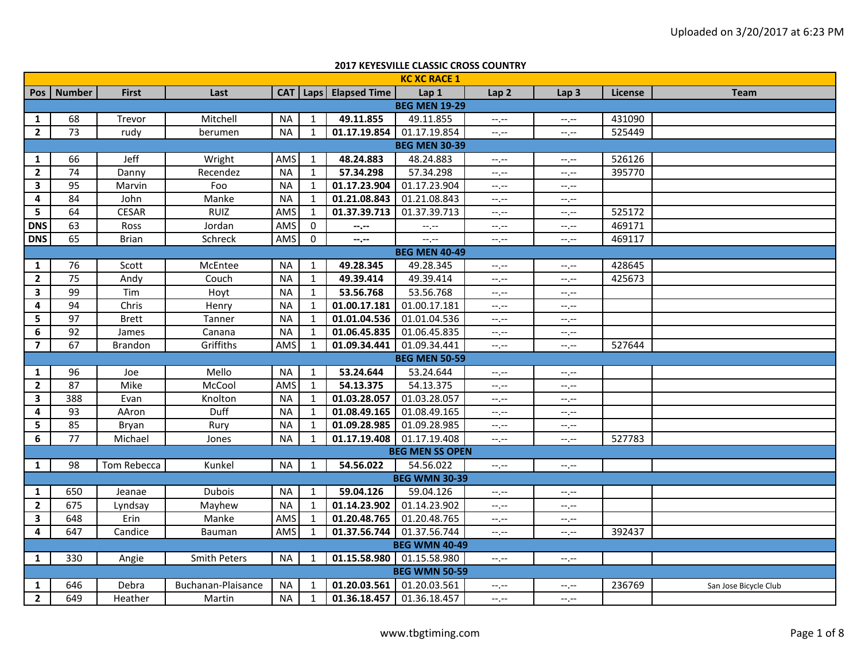|                | <b>2017 KEYESVILLE CLASSIC CROSS COUNTRY</b> |                |                     |           |              |                           |                        |                  |                  |         |                       |  |  |  |
|----------------|----------------------------------------------|----------------|---------------------|-----------|--------------|---------------------------|------------------------|------------------|------------------|---------|-----------------------|--|--|--|
|                |                                              |                |                     |           |              |                           | <b>KC XC RACE 1</b>    |                  |                  |         |                       |  |  |  |
| Pos            | <b>Number</b>                                | <b>First</b>   | Last                |           |              | CAT   Laps   Elapsed Time | Lap 1                  | Lap <sub>2</sub> | Lap <sub>3</sub> | License | <b>Team</b>           |  |  |  |
|                |                                              |                |                     |           |              |                           | <b>BEG MEN 19-29</b>   |                  |                  |         |                       |  |  |  |
| 1              | 68                                           | Trevor         | Mitchell            | <b>NA</b> | $\mathbf{1}$ | 49.11.855                 | 49.11.855              | $-1, -1$         | $-1, -1$         | 431090  |                       |  |  |  |
| $\overline{2}$ | $\overline{73}$                              | rudy           | berumen             | <b>NA</b> | $\mathbf{1}$ | 01.17.19.854              | 01.17.19.854           | $-1, -1$         | $-1, -1$         | 525449  |                       |  |  |  |
|                |                                              |                |                     |           |              |                           | <b>BEG MEN 30-39</b>   |                  |                  |         |                       |  |  |  |
| 1              | 66                                           | Jeff           | Wright              | AMS       | 1            | 48.24.883                 | 48.24.883              | --.--            | $-1, -1$         | 526126  |                       |  |  |  |
| $\overline{2}$ | 74                                           | Danny          | Recendez            | <b>NA</b> | 1            | 57.34.298                 | 57.34.298              | $-1, -1$         | $-1, -1$         | 395770  |                       |  |  |  |
| $\mathbf{3}$   | 95                                           | Marvin         | Foo                 | <b>NA</b> | 1            | 01.17.23.904              | 01.17.23.904           | $-1, -1$         | $-1 - 1 - 1 = 0$ |         |                       |  |  |  |
| 4              | 84                                           | John           | Manke               | <b>NA</b> | $\mathbf{1}$ | 01.21.08.843              | 01.21.08.843           | $-1, -1$         | $-1, -1$         |         |                       |  |  |  |
| 5              | 64                                           | <b>CESAR</b>   | <b>RUIZ</b>         | AMS       | 1            | 01.37.39.713              | 01.37.39.713           | $-1$ . $-1$      | $-1, -1$         | 525172  |                       |  |  |  |
| <b>DNS</b>     | 63                                           | Ross           | Jordan              | AMS       | $\mathbf 0$  | $-2 - 1$                  | $-1, -1$               | $-1, -1$         | $-1, -1$         | 469171  |                       |  |  |  |
| <b>DNS</b>     | 65                                           | <b>Brian</b>   | Schreck             | AMS       | $\mathbf 0$  | $-2$                      | $-1$ , $-1$            | $-1, -1$         | $-1, -1$         | 469117  |                       |  |  |  |
|                |                                              |                |                     |           |              |                           | <b>BEG MEN 40-49</b>   |                  |                  |         |                       |  |  |  |
| $\mathbf{1}$   | 76                                           | Scott          | McEntee             | <b>NA</b> | 1            | 49.28.345                 | 49.28.345              | $-1, -1$         | $-1 - 1 - 1 = 0$ | 428645  |                       |  |  |  |
| $\overline{2}$ | 75                                           | Andy           | Couch               | <b>NA</b> | 1            | 49.39.414                 | 49.39.414              | $-1, -1$         | $-1$ , $-1$      | 425673  |                       |  |  |  |
| 3              | 99                                           | Tim            | Hoyt                | <b>NA</b> | 1            | 53.56.768                 | 53.56.768              | $-1, -1$         | $-1, -1$         |         |                       |  |  |  |
| 4              | 94                                           | Chris          | Henry               | <b>NA</b> | $\mathbf{1}$ | 01.00.17.181              | 01.00.17.181           | $-1, -1$         | $-1, -1$         |         |                       |  |  |  |
| 5              | 97                                           | <b>Brett</b>   | Tanner              | <b>NA</b> | $\mathbf{1}$ | 01.01.04.536              | 01.01.04.536           | $-1$ , $-1$      | $-1, -1$         |         |                       |  |  |  |
| 6              | 92                                           | James          | Canana              | <b>NA</b> | 1            | 01.06.45.835              | 01.06.45.835           | $-1$ , $-1$      | $--, --$         |         |                       |  |  |  |
| $\overline{7}$ | 67                                           | <b>Brandon</b> | Griffiths           | AMS       | $\mathbf{1}$ | 01.09.34.441              | 01.09.34.441           | $-1, -1$         | $-1, -1$         | 527644  |                       |  |  |  |
|                |                                              |                |                     |           |              |                           | <b>BEG MEN 50-59</b>   |                  |                  |         |                       |  |  |  |
| 1              | 96                                           | Joe            | Mello               | <b>NA</b> | 1            | 53.24.644                 | 53.24.644              | $-1, -1$         | $-1 - 1 - 1 = 0$ |         |                       |  |  |  |
| $\overline{2}$ | 87                                           | Mike           | McCool              | AMS       | 1            | 54.13.375                 | 54.13.375              | $-1, -1$         | $-1, -1$         |         |                       |  |  |  |
| 3              | 388                                          | Evan           | Knolton             | <b>NA</b> | 1            | 01.03.28.057              | 01.03.28.057           | $-1, -1$         | $-1, -1$         |         |                       |  |  |  |
| 4              | 93                                           | AAron          | Duff                | <b>NA</b> | 1            | 01.08.49.165              | 01.08.49.165           | $-1, -1$         | $-1 - 1 - 1 = 0$ |         |                       |  |  |  |
| 5              | 85                                           | Bryan          | Rury                | <b>NA</b> | 1            | 01.09.28.985              | 01.09.28.985           | $-1, -1$         | $-1, -1$         |         |                       |  |  |  |
| 6              | 77                                           | Michael        | Jones               | <b>NA</b> | 1            | 01.17.19.408              | 01.17.19.408           | $-1, -1$         | $--, --$         | 527783  |                       |  |  |  |
|                |                                              |                |                     |           |              |                           | <b>BEG MEN SS OPEN</b> |                  |                  |         |                       |  |  |  |
| $\mathbf{1}$   | 98                                           | Tom Rebecca    | Kunkel              | <b>NA</b> | 1            | 54.56.022                 | 54.56.022              | $-1, -1$         | $-1 - 1 - 1 = 0$ |         |                       |  |  |  |
|                |                                              |                |                     |           |              |                           | <b>BEG WMN 30-39</b>   |                  |                  |         |                       |  |  |  |
| $\mathbf{1}$   | 650                                          | Jeanae         | <b>Dubois</b>       | <b>NA</b> | $\mathbf{1}$ | 59.04.126                 | 59.04.126              | $-1, -1$         | $-1 - 1 - 1 = 0$ |         |                       |  |  |  |
| $\overline{2}$ | 675                                          | Lyndsay        | Mayhew              | <b>NA</b> | $\mathbf{1}$ | 01.14.23.902              | 01.14.23.902           | $-1, -1$         | $-1, -1$         |         |                       |  |  |  |
| 3              | 648                                          | Erin           | Manke               | AMS       | $\mathbf{1}$ | 01.20.48.765              | 01.20.48.765           | $-1$ . $-1$      | $-1, -1$         |         |                       |  |  |  |
| 4              | 647                                          | Candice        | Bauman              | AMS       | $\mathbf{1}$ | 01.37.56.744              | 01.37.56.744           | $-1, -1$         | $-1$ , $-1$      | 392437  |                       |  |  |  |
|                |                                              |                |                     |           |              |                           | <b>BEG WMN 40-49</b>   |                  |                  |         |                       |  |  |  |
| 1              | 330                                          | Angie          | <b>Smith Peters</b> | NA        | 1            | 01.15.58.980              | 01.15.58.980           | $-\mathcal{L}$   | $-1 - 1 - 1 = 0$ |         |                       |  |  |  |
|                | <b>BEG WMN 50-59</b>                         |                |                     |           |              |                           |                        |                  |                  |         |                       |  |  |  |
| $\mathbf{1}$   | 646                                          | Debra          | Buchanan-Plaisance  | NA        | -1           | 01.20.03.561              | 01.20.03.561           | $-1, -1$         | $-1, -1$         | 236769  | San Jose Bicycle Club |  |  |  |
| $\overline{2}$ | 649                                          | Heather        | Martin              | <b>NA</b> | 1            | 01.36.18.457              | 01.36.18.457           | $-1, -1$         | $-1, -1$         |         |                       |  |  |  |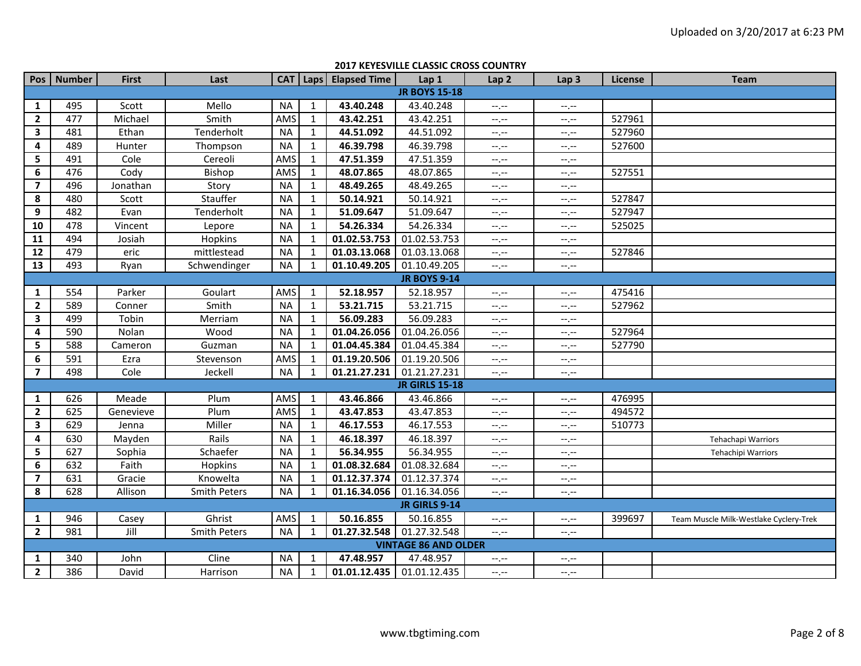|                         | <b>2017 KEYESVILLE CLASSIC CROSS COUNTRY</b> |              |                     |           |              |                           |                       |                  |                             |         |                                        |  |  |  |
|-------------------------|----------------------------------------------|--------------|---------------------|-----------|--------------|---------------------------|-----------------------|------------------|-----------------------------|---------|----------------------------------------|--|--|--|
|                         | Pos Number                                   | <b>First</b> | Last                |           |              | CAT   Laps   Elapsed Time | Lap 1                 | Lap <sub>2</sub> | Lap <sub>3</sub>            | License | <b>Team</b>                            |  |  |  |
|                         |                                              |              |                     |           |              |                           | <b>JR BOYS 15-18</b>  |                  |                             |         |                                        |  |  |  |
| 1                       | 495                                          | Scott        | Mello               | <b>NA</b> | $\mathbf{1}$ | 43.40.248                 | 43.40.248             | $-1, -1$         | $-1, -1$                    |         |                                        |  |  |  |
| $\mathbf{2}$            | 477                                          | Michael      | Smith               | AMS       | $\mathbf{1}$ | 43.42.251                 | 43.42.251             | $-1$             | $-1, -1$                    | 527961  |                                        |  |  |  |
| 3                       | 481                                          | Ethan        | Tenderholt          | <b>NA</b> | $\mathbf{1}$ | 44.51.092                 | 44.51.092             | $-1, -1$         | $-1, -1$                    | 527960  |                                        |  |  |  |
| 4                       | 489                                          | Hunter       | Thompson            | <b>NA</b> | $\mathbf{1}$ | 46.39.798                 | 46.39.798             | --.--            | $-1, -1$                    | 527600  |                                        |  |  |  |
| 5                       | 491                                          | Cole         | Cereoli             | AMS       | 1            | 47.51.359                 | 47.51.359             | $-1$ . $-1$      | $-1, -1$                    |         |                                        |  |  |  |
| 6                       | 476                                          | Cody         | Bishop              | AMS       | 1            | 48.07.865                 | 48.07.865             | $-1$ . $-1$      | $-1, -1$                    | 527551  |                                        |  |  |  |
| $\overline{7}$          | 496                                          | Jonathan     | Story               | <b>NA</b> | 1            | 48.49.265                 | 48.49.265             | $-1$ . $-1$      | $-1, -1$                    |         |                                        |  |  |  |
| 8                       | 480                                          | Scott        | Stauffer            | <b>NA</b> | $\mathbf{1}$ | 50.14.921                 | 50.14.921             | $-1$ . $-1$      | $-1, -1$                    | 527847  |                                        |  |  |  |
| 9                       | 482                                          | Evan         | Tenderholt          | <b>NA</b> | 1            | 51.09.647                 | 51.09.647             | $-1 - 1 - 1 = 0$ | $-1, -1$                    | 527947  |                                        |  |  |  |
| 10                      | 478                                          | Vincent      | Lepore              | <b>NA</b> | 1            | 54.26.334                 | 54.26.334             | --.--            | $-1, -1$                    | 525025  |                                        |  |  |  |
| 11                      | 494                                          | Josiah       | Hopkins             | <b>NA</b> | 1            | 01.02.53.753              | 01.02.53.753          | $-1, -1$         | $-1, -1$                    |         |                                        |  |  |  |
| 12                      | 479                                          | eric         | mittlestead         | <b>NA</b> | $\mathbf{1}$ | 01.03.13.068              | 01.03.13.068          | $-1, -1$         | $-1, -1$                    | 527846  |                                        |  |  |  |
| 13                      | 493                                          | Ryan         | Schwendinger        | <b>NA</b> | $\mathbf{1}$ | 01.10.49.205              | 01.10.49.205          | $-1, -1$         | $-1, -1$                    |         |                                        |  |  |  |
|                         |                                              |              |                     |           |              |                           | <b>JR BOYS 9-14</b>   |                  |                             |         |                                        |  |  |  |
| $\mathbf{1}$            | 554                                          | Parker       | Goulart             | AMS       | $\mathbf{1}$ | 52.18.957                 | 52.18.957             | $-1, -1$         | $-1, -1$                    | 475416  |                                        |  |  |  |
| $\overline{2}$          | 589                                          | Conner       | Smith               | <b>NA</b> | 1            | 53.21.715                 | 53.21.715             | --.--            | $-1, -1$                    | 527962  |                                        |  |  |  |
| $\overline{\mathbf{3}}$ | 499                                          | Tobin        | Merriam             | ΝA        | 1            | 56.09.283                 | 56.09.283             | --.--            | --.--                       |         |                                        |  |  |  |
| 4                       | 590                                          | Nolan        | Wood                | <b>NA</b> | 1            | 01.04.26.056              | 01.04.26.056          | --.--            | $-1, -1$                    | 527964  |                                        |  |  |  |
| 5                       | 588                                          | Cameron      | Guzman              | <b>NA</b> | $\mathbf{1}$ | 01.04.45.384              | 01.04.45.384          | --,--            | $-1, -1$                    | 527790  |                                        |  |  |  |
| 6                       | 591                                          | Ezra         | Stevenson           | AMS       | $\mathbf{1}$ | 01.19.20.506              | 01.19.20.506          | $-1, -1$         | $-1, -1$                    |         |                                        |  |  |  |
| $\overline{7}$          | 498                                          | Cole         | Jeckell             | <b>NA</b> | 1            | 01.21.27.231              | 01.21.27.231          | $-1, -1$         | $-1, -1$                    |         |                                        |  |  |  |
|                         |                                              |              |                     |           |              |                           | <b>JR GIRLS 15-18</b> |                  |                             |         |                                        |  |  |  |
| $\mathbf{1}$            | 626                                          | Meade        | Plum                | AMS       | 1            | 43.46.866                 | 43.46.866             | $-1, -1$         | $\leftarrow$ , $\leftarrow$ | 476995  |                                        |  |  |  |
| $\overline{2}$          | 625                                          | Genevieve    | Plum                | AMS       | 1            | 43.47.853                 | 43.47.853             | $-1, -1$         | $-1, -1$                    | 494572  |                                        |  |  |  |
| $\overline{\mathbf{3}}$ | 629                                          | Jenna        | Miller              | <b>NA</b> | $\mathbf{1}$ | 46.17.553                 | 46.17.553             | $-1$ , $-1$      | $-1, -1$                    | 510773  |                                        |  |  |  |
| 4                       | 630                                          | Mayden       | Rails               | <b>NA</b> | $\mathbf{1}$ | 46.18.397                 | 46.18.397             | $-1, -1$         | $-1, -1$                    |         | Tehachapi Warriors                     |  |  |  |
| 5                       | 627                                          | Sophia       | Schaefer            | <b>NA</b> | 1            | 56.34.955                 | 56.34.955             | $-1, -1$         | $-1, -1$                    |         | Tehachipi Warriors                     |  |  |  |
| 6                       | 632                                          | Faith        | <b>Hopkins</b>      | NA        | 1            | 01.08.32.684              | 01.08.32.684          | $-1$ . $-1$      | $-1, -1$                    |         |                                        |  |  |  |
| $\overline{7}$          | 631                                          | Gracie       | Knowelta            | <b>NA</b> | 1            | 01.12.37.374              | 01.12.37.374          | $-1, -1$         | $-1, -1$                    |         |                                        |  |  |  |
| 8                       | 628                                          | Allison      | <b>Smith Peters</b> | <b>NA</b> | $\mathbf{1}$ | 01.16.34.056              | 01.16.34.056          | $-1, -1$         | $- - - - -$                 |         |                                        |  |  |  |
|                         |                                              |              |                     |           |              |                           | <b>JR GIRLS 9-14</b>  |                  |                             |         |                                        |  |  |  |
| 1                       | 946                                          | Casey        | Ghrist              | AMS       | $\mathbf{1}$ | 50.16.855                 | 50.16.855             | $-1, -1$         | $-1, -1$                    | 399697  | Team Muscle Milk-Westlake Cyclery-Trek |  |  |  |
| $\overline{2}$          | 981                                          | Jill         | <b>Smith Peters</b> | <b>NA</b> | 1            | 01.27.32.548              | 01.27.32.548          | $-1, -1$         | $-1, -1$                    |         |                                        |  |  |  |
|                         | <b>VINTAGE 86 AND OLDER</b>                  |              |                     |           |              |                           |                       |                  |                             |         |                                        |  |  |  |
| 1                       | 340                                          | John         | Cline               | ΝA        | 1            | 47.48.957                 | 47.48.957             | $-1, -1$         | --.--                       |         |                                        |  |  |  |
| $\overline{2}$          | 386                                          | David        | Harrison            | <b>NA</b> | $\mathbf{1}$ | 01.01.12.435              | 01.01.12.435          | --.--            | $-1, -1$                    |         |                                        |  |  |  |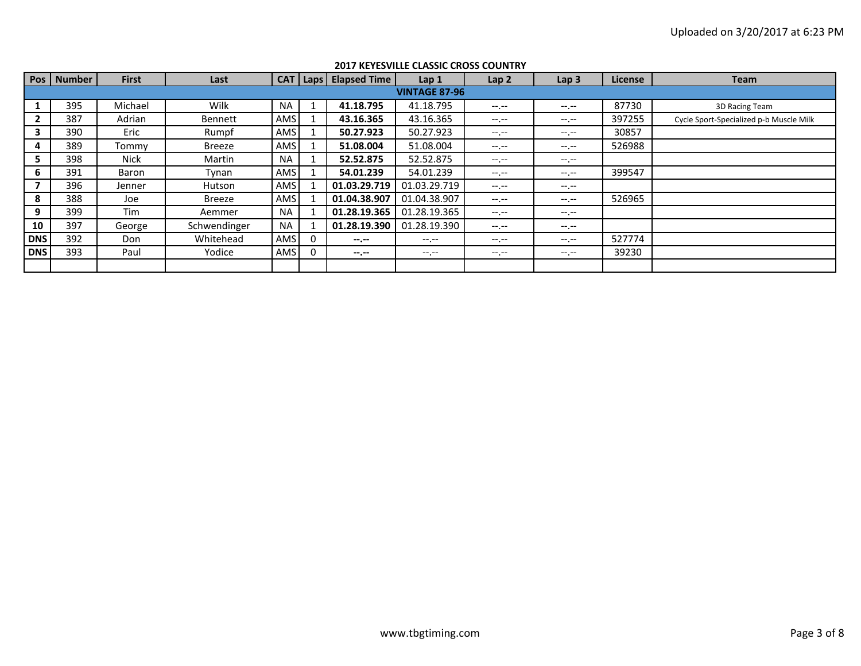| Pos        | Number | <b>First</b> | Last         |            |          | <b>CAT   Laps   Elapsed Time  </b> | Lap <sub>1</sub>     | Lap <sub>2</sub> | Lap <sub>3</sub> | License | <b>Team</b>                             |  |  |  |
|------------|--------|--------------|--------------|------------|----------|------------------------------------|----------------------|------------------|------------------|---------|-----------------------------------------|--|--|--|
|            |        |              |              |            |          |                                    | <b>VINTAGE 87-96</b> |                  |                  |         |                                         |  |  |  |
|            | 395    | Michael      | Wilk         | <b>NA</b>  |          | 41.18.795                          | 41.18.795            | $-1.1$           | $-1 - 1 - 1 = 0$ | 87730   | 3D Racing Team                          |  |  |  |
|            | 387    | Adrian       | Bennett      | AMS        |          | 43.16.365                          | 43.16.365            | $-1$ , $-1$      | $- - - - -$      | 397255  | Cycle Sport-Specialized p-b Muscle Milk |  |  |  |
| 3          | 390    | Eric         | Rumpf        | AMS        |          | 50.27.923                          | 50.27.923            | $-1. -1$         | $- - - - -$      | 30857   |                                         |  |  |  |
| 4          | 389    | Tommv        | Breeze       | AMS        |          | 51.08.004                          | 51.08.004            | $-1.1 -$         | $-1. - -$        | 526988  |                                         |  |  |  |
| 5.         | 398    | Nick         | Martin       | <b>NA</b>  |          | 52.52.875                          | 52.52.875            | $-1.1 -$         | $-1. - -$        |         |                                         |  |  |  |
| 6          | 391    | Baron        | Tynan        | AMS        |          | 54.01.239                          | 54.01.239            | $-1 - 1 - 1 = 0$ | $- - - - -$      | 399547  |                                         |  |  |  |
|            | 396    | Jenner       | Hutson       | AMS        |          | 01.03.29.719                       | 01.03.29.719         | $-1.1 - 1.0$     | $-1. - -$        |         |                                         |  |  |  |
| 8          | 388    | Joe          | Breeze       | <b>AMS</b> |          | 01.04.38.907                       | 01.04.38.907         | $-1.1 - 1.0$     | $-1. - -$        | 526965  |                                         |  |  |  |
| 9          | 399    | Tim          | Aemmer       | <b>NA</b>  |          | 01.28.19.365                       | 01.28.19.365         | $-1. -1$         | $- - - - -$      |         |                                         |  |  |  |
| 10         | 397    | George       | Schwendinger | <b>NA</b>  |          | 01.28.19.390                       | 01.28.19.390         | $-1.1 -$         | $-1. - -$        |         |                                         |  |  |  |
| <b>DNS</b> | 392    | Don          | Whitehead    | AMS        |          | $-1$                               | $-1 - 1 - 1 = 0$     | $-1.1 - 1.0$     | $-1. -1$         | 527774  |                                         |  |  |  |
| <b>DNS</b> | 393    | Paul         | Yodice       | AMS        | $\Omega$ | $-1$                               | $-1.1 -$             | $-1$ . $-1$      | $-1. - -$        | 39230   |                                         |  |  |  |
|            |        |              |              |            |          |                                    |                      |                  |                  |         |                                         |  |  |  |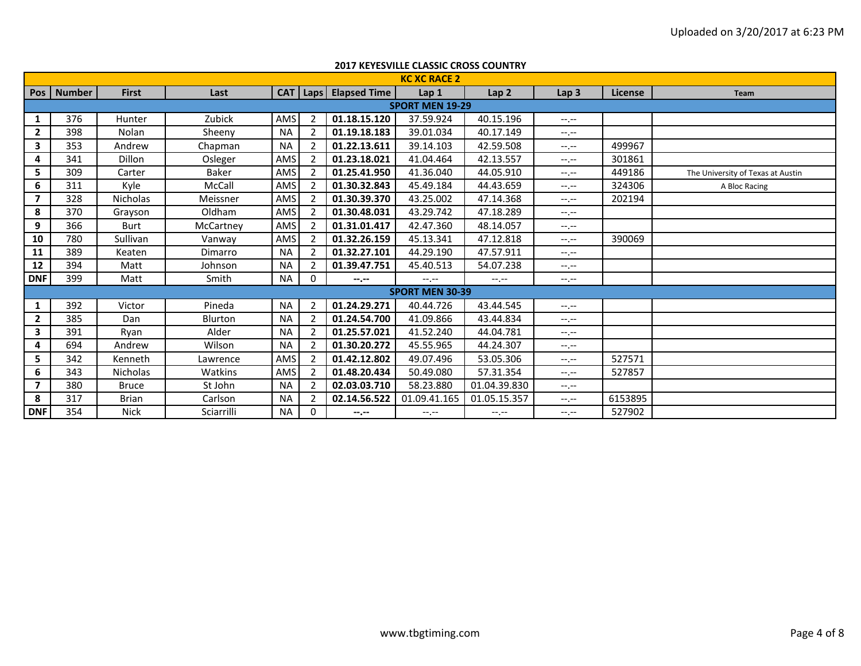|                |              |                 |              |           |                |                           | <b>2017 KEYESVILLE CLASSIC CROSS COUNTRY</b> |                  |                  |         |                                   |
|----------------|--------------|-----------------|--------------|-----------|----------------|---------------------------|----------------------------------------------|------------------|------------------|---------|-----------------------------------|
|                |              |                 |              |           |                |                           | <b>KC XC RACE 2</b>                          |                  |                  |         |                                   |
|                | Pos   Number | <b>First</b>    | Last         |           |                | CAT   Laps   Elapsed Time | Lap 1                                        | Lap <sub>2</sub> | Lap <sub>3</sub> | License | <b>Team</b>                       |
|                |              |                 |              |           |                |                           | <b>SPORT MEN 19-29</b>                       |                  |                  |         |                                   |
| 1              | 376          | Hunter          | Zubick       | AMS       | 2              | 01.18.15.120              | 37.59.924                                    | 40.15.196        | $-1$ , $-1$      |         |                                   |
| $\mathbf{2}$   | 398          | Nolan           | Sheeny       | <b>NA</b> | -2             | 01.19.18.183              | 39.01.034                                    | 40.17.149        | $-1. -1$         |         |                                   |
| 3              | 353          | Andrew          | Chapman      | <b>NA</b> | $\overline{2}$ | 01.22.13.611              | 39.14.103                                    | 42.59.508        | $-1 - 1 - 1 = 0$ | 499967  |                                   |
| 4              | 341          | Dillon          | Osleger      | AMS       | 2              | 01.23.18.021              | 41.04.464                                    | 42.13.557        | $-1 - 1 - 1 = 0$ | 301861  |                                   |
| 5.             | 309          | Carter          | <b>Baker</b> | AMS       | $\overline{2}$ | 01.25.41.950              | 41.36.040                                    | 44.05.910        | $-1, -1$         | 449186  | The University of Texas at Austin |
| 6              | 311          | Kyle            | McCall       | AMS       | $\overline{2}$ | 01.30.32.843              | 45.49.184                                    | 44.43.659        | $-1 - 1 - 1 = 0$ | 324306  | A Bloc Racing                     |
| 7              | 328          | <b>Nicholas</b> | Meissner     | AMS       | $\overline{2}$ | 01.30.39.370              | 43.25.002                                    | 47.14.368        | $-1$ , $-1$      | 202194  |                                   |
| 8              | 370          | Grayson         | Oldham       | AMS       | $\overline{2}$ | 01.30.48.031              | 43.29.742                                    | 47.18.289        | $-1 - 1 - 1 = 0$ |         |                                   |
| 9              | 366          | <b>Burt</b>     | McCartney    | AMS       | $\overline{2}$ | 01.31.01.417              | 42.47.360                                    | 48.14.057        | $-1 - 1 - 1 = 0$ |         |                                   |
| 10             | 780          | Sullivan        | Vanway       | AMS       | $\overline{2}$ | 01.32.26.159              | 45.13.341                                    | 47.12.818        | $-1$ , $-1$      | 390069  |                                   |
| 11             | 389          | Keaten          | Dimarro      | <b>NA</b> | $\overline{2}$ | 01.32.27.101              | 44.29.190                                    | 47.57.911        | $-1$ , $-1$      |         |                                   |
| 12             | 394          | Matt            | Johnson      | <b>NA</b> | 2              | 01.39.47.751              | 45.40.513                                    | 54.07.238        | $-1. -1$         |         |                                   |
| <b>DNF</b>     | 399          | Matt            | Smith        | NA        | 0              | $- - - - -$               | $-1$ , $-1$                                  | $-1 - 1 - 1 = 0$ | $-1.1$           |         |                                   |
|                |              |                 |              |           |                |                           | <b>SPORT MEN 30-39</b>                       |                  |                  |         |                                   |
| 1              | 392          | Victor          | Pineda       | <b>NA</b> | $\overline{2}$ | 01.24.29.271              | 40.44.726                                    | 43.44.545        | $-1, -1$         |         |                                   |
| $\mathbf{2}$   | 385          | <b>Dan</b>      | Blurton      | <b>NA</b> | $\overline{2}$ | 01.24.54.700              | 41.09.866                                    | 43.44.834        | $-1 - 1 - 1 = 0$ |         |                                   |
| 3              | 391          | Ryan            | Alder        | <b>NA</b> | 2              | 01.25.57.021              | 41.52.240                                    | 44.04.781        | $-1 - 1 - 1 = 0$ |         |                                   |
| 4              | 694          | Andrew          | Wilson       | <b>NA</b> | 2              | 01.30.20.272              | 45.55.965                                    | 44.24.307        | $-1$ , $-1$      |         |                                   |
| 5.             | 342          | Kenneth         | Lawrence     | AMS       | $\overline{2}$ | 01.42.12.802              | 49.07.496                                    | 53.05.306        | $-1.1 -$         | 527571  |                                   |
| 6              | 343          | <b>Nicholas</b> | Watkins      | AMS       | $\overline{2}$ | 01.48.20.434              | 50.49.080                                    | 57.31.354        | $-1$ , $-1$      | 527857  |                                   |
| $\overline{7}$ | 380          | <b>Bruce</b>    | St John      | <b>NA</b> | $\overline{2}$ | 02.03.03.710              | 58.23.880                                    | 01.04.39.830     | $-1 - 1 - 1 = 0$ |         |                                   |
| 8              | 317          | <b>Brian</b>    | Carlson      | <b>NA</b> | 2              | 02.14.56.522              | 01.09.41.165                                 | 01.05.15.357     | $-1$ , $-1$      | 6153895 |                                   |
| <b>DNF</b>     | 354          | <b>Nick</b>     | Sciarrilli   | <b>NA</b> | $\Omega$       | $-2 - 1 - 1 = 0$          | $-1 - 1 - 1 = 0$                             | $-1, -1$         | $-1$ , $-1$      | 527902  |                                   |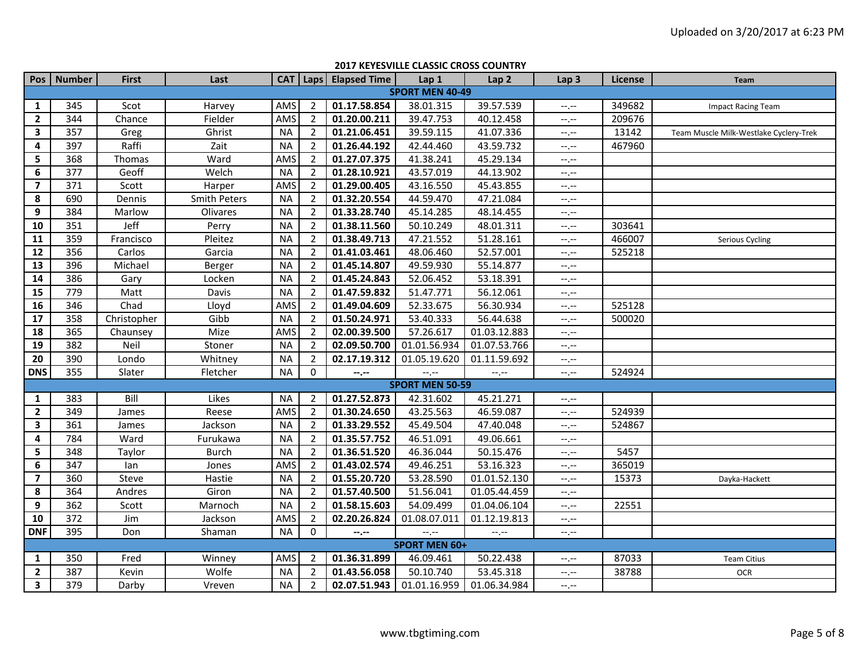|                         | Pos   Number         | <b>First</b> | Last                |           |                | CAT   Laps   Elapsed Time | Lap <sub>1</sub>            | Lap <sub>2</sub>            | Lap <sub>3</sub>            | License | Team                                   |  |  |
|-------------------------|----------------------|--------------|---------------------|-----------|----------------|---------------------------|-----------------------------|-----------------------------|-----------------------------|---------|----------------------------------------|--|--|
|                         |                      |              |                     |           |                |                           | <b>SPORT MEN 40-49</b>      |                             |                             |         |                                        |  |  |
| $\mathbf{1}$            | 345                  | Scot         | Harvey              | AMS       | $\overline{2}$ | 01.17.58.854              | 38.01.315                   | 39.57.539                   | $--, --$                    | 349682  | Impact Racing Team                     |  |  |
| $\overline{2}$          | 344                  | Chance       | Fielder             | AMS       | $\overline{2}$ | 01.20.00.211              | 39.47.753                   | 40.12.458                   | $-1$                        | 209676  |                                        |  |  |
| $\overline{\mathbf{3}}$ | 357                  | Greg         | Ghrist              | <b>NA</b> | $\overline{2}$ | 01.21.06.451              | 39.59.115                   | 41.07.336                   | --.--                       | 13142   | Team Muscle Milk-Westlake Cyclery-Trek |  |  |
| 4                       | 397                  | Raffi        | Zait                | <b>NA</b> | $\overline{2}$ | 01.26.44.192              | 42.44.460                   | 43.59.732                   | $\leftarrow$ , $\leftarrow$ | 467960  |                                        |  |  |
| 5                       | 368                  | Thomas       | Ward                | AMS       | $\overline{2}$ | 01.27.07.375              | 41.38.241                   | 45.29.134                   | $-1, -1$                    |         |                                        |  |  |
| 6                       | 377                  | Geoff        | Welch               | <b>NA</b> | $\overline{2}$ | 01.28.10.921              | 43.57.019                   | 44.13.902                   | $-1$                        |         |                                        |  |  |
| $\overline{\mathbf{z}}$ | 371                  | Scott        | Harper              | AMS       | $\overline{2}$ | 01.29.00.405              | 43.16.550                   | 45.43.855                   | $-1$                        |         |                                        |  |  |
| 8                       | 690                  | Dennis       | <b>Smith Peters</b> | <b>NA</b> | $\overline{2}$ | 01.32.20.554              | 44.59.470                   | 47.21.084                   | $-1$                        |         |                                        |  |  |
| 9                       | 384                  | Marlow       | Olivares            | <b>NA</b> | $\overline{2}$ | 01.33.28.740              | 45.14.285                   | 48.14.455                   | $-1, -1$                    |         |                                        |  |  |
| 10                      | 351                  | Jeff         | Perry               | <b>NA</b> | $\overline{2}$ | 01.38.11.560              | 50.10.249                   | 48.01.311                   | $-1 - 1 - 1 = 0$            | 303641  |                                        |  |  |
| 11                      | 359                  | Francisco    | Pleitez             | <b>NA</b> | $\overline{2}$ | 01.38.49.713              | 47.21.552                   | 51.28.161                   | $-1$                        | 466007  | Serious Cycling                        |  |  |
| 12                      | 356                  | Carlos       | Garcia              | <b>NA</b> | $\overline{2}$ | 01.41.03.461              | 48.06.460                   | 52.57.001                   | --,--                       | 525218  |                                        |  |  |
| $\overline{13}$         | 396                  | Michael      | Berger              | <b>NA</b> | $\overline{2}$ | 01.45.14.807              | 49.59.930                   | 55.14.877                   | $-1, -1$                    |         |                                        |  |  |
| 14                      | 386                  | Gary         | Locken              | <b>NA</b> | $\overline{2}$ | 01.45.24.843              | 52.06.452                   | 53.18.391                   | $-1, -1$                    |         |                                        |  |  |
| 15                      | 779                  | Matt         | Davis               | <b>NA</b> | $\overline{2}$ | 01.47.59.832              | 51.47.771                   | 56.12.061                   | $-1, -1$                    |         |                                        |  |  |
| 16                      | 346                  | Chad         | Lloyd               | AMS       | $\overline{2}$ | 01.49.04.609              | 52.33.675                   | 56.30.934                   | $-1, -1$                    | 525128  |                                        |  |  |
| 17                      | 358                  | Christopher  | Gibb                | <b>NA</b> | $\overline{2}$ | 01.50.24.971              | 53.40.333                   | 56.44.638                   | $-1, -1$                    | 500020  |                                        |  |  |
| 18                      | 365                  | Chaunsey     | Mize                | AMS       | $\overline{2}$ | 02.00.39.500              | 57.26.617                   | 01.03.12.883                | $-1, -1$                    |         |                                        |  |  |
| 19                      | 382                  | Neil         | Stoner              | <b>NA</b> | $\overline{2}$ | 02.09.50.700              | 01.01.56.934                | 01.07.53.766                | $-1, -1$                    |         |                                        |  |  |
| 20                      | 390                  | Londo        | Whitney             | <b>NA</b> | $\overline{2}$ | 02.17.19.312              | 01.05.19.620                | 01.11.59.692                | $-1, -1$                    |         |                                        |  |  |
| <b>DNS</b>              | 355                  | Slater       | Fletcher            | <b>NA</b> | $\mathbf 0$    | --.--                     | $\leftarrow$ , $\leftarrow$ | $\leftarrow$ , $\leftarrow$ | $-1$                        | 524924  |                                        |  |  |
|                         |                      |              |                     |           |                |                           | <b>SPORT MEN 50-59</b>      |                             |                             |         |                                        |  |  |
| 1                       | 383                  | Bill         | Likes               | <b>NA</b> | $\overline{2}$ | 01.27.52.873              | 42.31.602                   | 45.21.271                   | $-1, -1$                    |         |                                        |  |  |
| $\overline{2}$          | 349                  | James        | Reese               | AMS       | $\overline{2}$ | 01.30.24.650              | 43.25.563                   | 46.59.087                   | $-1$ . $-1$                 | 524939  |                                        |  |  |
| 3                       | 361                  | James        | Jackson             | <b>NA</b> | $\overline{2}$ | 01.33.29.552              | 45.49.504                   | 47.40.048                   | $-1, -1$                    | 524867  |                                        |  |  |
| 4                       | 784                  | Ward         | Furukawa            | <b>NA</b> | $\overline{2}$ | 01.35.57.752              | 46.51.091                   | 49.06.661                   | $-1, -1$                    |         |                                        |  |  |
| 5                       | 348                  | Taylor       | <b>Burch</b>        | <b>NA</b> | $\overline{2}$ | 01.36.51.520              | 46.36.044                   | 50.15.476                   | $-1, -1$                    | 5457    |                                        |  |  |
| 6                       | 347                  | lan          | Jones               | AMS       | $\overline{2}$ | 01.43.02.574              | 49.46.251                   | 53.16.323                   | --,--                       | 365019  |                                        |  |  |
| $\overline{\mathbf{z}}$ | 360                  | Steve        | Hastie              | <b>NA</b> | $\overline{2}$ | 01.55.20.720              | 53.28.590                   | 01.01.52.130                | $\leftarrow$ , $\leftarrow$ | 15373   | Dayka-Hackett                          |  |  |
| 8                       | 364                  | Andres       | Giron               | <b>NA</b> | $\overline{2}$ | 01.57.40.500              | 51.56.041                   | 01.05.44.459                | $--, --$                    |         |                                        |  |  |
| $\boldsymbol{9}$        | 362                  | Scott        | Marnoch             | <b>NA</b> | $\overline{2}$ | 01.58.15.603              | 54.09.499                   | 01.04.06.104                | $-1, -1$                    | 22551   |                                        |  |  |
| 10                      | 372                  | Jim          | Jackson             | AMS       | $\overline{2}$ | 02.20.26.824              | 01.08.07.011                | 01.12.19.813                | $-1, -1$                    |         |                                        |  |  |
| <b>DNF</b>              | 395                  | Don          | Shaman              | <b>NA</b> | $\mathbf 0$    | --.--                     | $-1$                        | $-1$                        | $-1, -1$                    |         |                                        |  |  |
|                         | <b>SPORT MEN 60+</b> |              |                     |           |                |                           |                             |                             |                             |         |                                        |  |  |
| $\mathbf{1}$            | 350                  | Fred         | Winney              | AMS       | $\overline{2}$ | 01.36.31.899              | 46.09.461                   | 50.22.438                   | $-1, -1$                    | 87033   | <b>Team Citius</b>                     |  |  |
| $\overline{2}$          | 387                  | Kevin        | Wolfe               | <b>NA</b> | $\overline{2}$ | 01.43.56.058              | 50.10.740                   | 53.45.318                   | $-1, -1$                    | 38788   | <b>OCR</b>                             |  |  |
| 3                       | 379                  | Darby        | Vreven              | <b>NA</b> | $\overline{2}$ | 02.07.51.943              | 01.01.16.959                | 01.06.34.984                | $-1, -1$                    |         |                                        |  |  |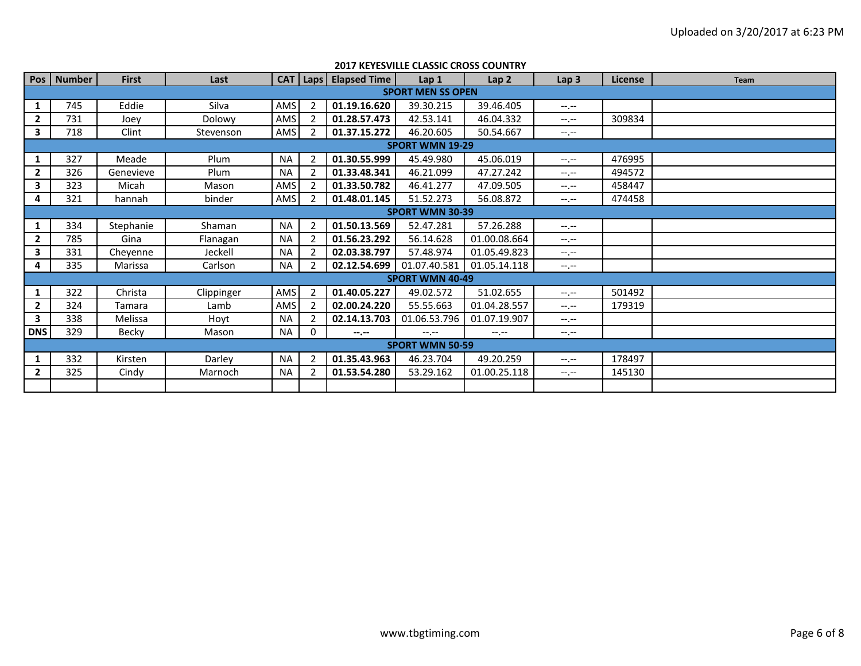|              |                        |               |               |           |                          |                                  | 2017 NETESVILLE CLASSIC CNOSS COUNTRY |                  |                  |         |      |  |  |  |
|--------------|------------------------|---------------|---------------|-----------|--------------------------|----------------------------------|---------------------------------------|------------------|------------------|---------|------|--|--|--|
|              | Pos   Number           | <b>First</b>  | Last          |           |                          | <b>CAT</b>   Laps   Elapsed Time | Lap <sub>1</sub>                      | Lap <sub>2</sub> | Lap <sub>3</sub> | License | Team |  |  |  |
|              |                        |               |               |           |                          |                                  | <b>SPORT MEN SS OPEN</b>              |                  |                  |         |      |  |  |  |
|              | 745                    | Eddie         | Silva         | AMS       | $\overline{\phantom{a}}$ | 01.19.16.620                     | 39.30.215                             | 39.46.405        | $-1 - 1 - 1 = 0$ |         |      |  |  |  |
| $\mathbf{2}$ | 731                    | Joev          | <b>Dolowy</b> | AMS       | 2                        | 01.28.57.473                     | 42.53.141                             | 46.04.332        | $-1.1$           | 309834  |      |  |  |  |
| 3            | 718                    | Clint         | Stevenson     | AMS       | 2                        | 01.37.15.272                     | 46.20.605                             | 50.54.667        | $-1, -1$         |         |      |  |  |  |
|              |                        |               |               |           |                          |                                  | <b>SPORT WMN 19-29</b>                |                  |                  |         |      |  |  |  |
| 1            | 327                    | Meade         | Plum          | <b>NA</b> | 2                        | 01.30.55.999                     | 45.49.980                             | 45.06.019        | $-1$ , $-1$      | 476995  |      |  |  |  |
| $\mathbf{2}$ | 326                    | Genevieve     | Plum          | <b>NA</b> | $\mathcal{P}$            | 01.33.48.341                     | 46.21.099                             | 47.27.242        | $-1.1$           | 494572  |      |  |  |  |
| 3            | 323                    | Micah         | Mason         | AMS       |                          | 01.33.50.782                     | 46.41.277                             | 47.09.505        | $-1$ , $-1$      | 458447  |      |  |  |  |
| 4            | 321                    | hannah        | binder        | AMS       |                          | 01.48.01.145                     | 51.52.273                             | 56.08.872        | $-1. - -$        | 474458  |      |  |  |  |
|              | <b>SPORT WMN 30-39</b> |               |               |           |                          |                                  |                                       |                  |                  |         |      |  |  |  |
| 1            | 334                    | Stephanie     | Shaman        | <b>NA</b> | $\overline{2}$           | 01.50.13.569                     | 52.47.281                             | 57.26.288        | $-1 - 1 - 1 = 0$ |         |      |  |  |  |
| $\mathbf{2}$ | 785                    | Gina          | Flanagan      | <b>NA</b> | $\mathcal{P}$            | 01.56.23.292                     | 56.14.628                             | 01.00.08.664     | $-1$ , $-1$      |         |      |  |  |  |
| 3            | 331                    | Chevenne      | Jeckell       | <b>NA</b> | 2                        | 02.03.38.797                     | 57.48.974                             | 01.05.49.823     | $-1$ , $-1$      |         |      |  |  |  |
| 4            | 335                    | Marissa       | Carlson       | <b>NA</b> | $\mathcal{P}$            | 02.12.54.699                     | 01.07.40.581                          | 01.05.14.118     | $-1, -1$         |         |      |  |  |  |
|              |                        |               |               |           |                          |                                  | <b>SPORT WMN 40-49</b>                |                  |                  |         |      |  |  |  |
| 1            | 322                    | Christa       | Clippinger    | AMS       | $\overline{2}$           | 01.40.05.227                     | 49.02.572                             | 51.02.655        | $-1 - 1 - 1 = 0$ | 501492  |      |  |  |  |
| $\mathbf{2}$ | 324                    | <b>Tamara</b> | Lamb          | AMS       | $\mathcal{P}$            | 02.00.24.220                     | 55.55.663                             | 01.04.28.557     | $-1$ , $-1$      | 179319  |      |  |  |  |
| $\mathbf{3}$ | 338                    | Melissa       | Hoyt          | <b>NA</b> | $\mathcal{P}$            | 02.14.13.703                     | 01.06.53.796                          | 01.07.19.907     | $-1$ , $-1$      |         |      |  |  |  |
| <b>DNS</b>   | 329                    | Becky         | Mason         | <b>NA</b> | $\Omega$                 | $-1 - 1 - 1 = 0$                 | $-1$ , $-1$                           | $-1$ , $-1$      | $-1. - -$        |         |      |  |  |  |
|              | <b>SPORT WMN 50-59</b> |               |               |           |                          |                                  |                                       |                  |                  |         |      |  |  |  |
|              | 332                    | Kirsten       | Darley        | <b>NA</b> | $\overline{2}$           | 01.35.43.963                     | 46.23.704                             | 49.20.259        | $-1 - 1 - 1 = 0$ | 178497  |      |  |  |  |
| $\mathbf{2}$ | 325                    | Cindy         | Marnoch       | <b>NA</b> | $\overline{2}$           | 01.53.54.280                     | 53.29.162                             | 01.00.25.118     | $-1$ , $-1$      | 145130  |      |  |  |  |
|              |                        |               |               |           |                          |                                  |                                       |                  |                  |         |      |  |  |  |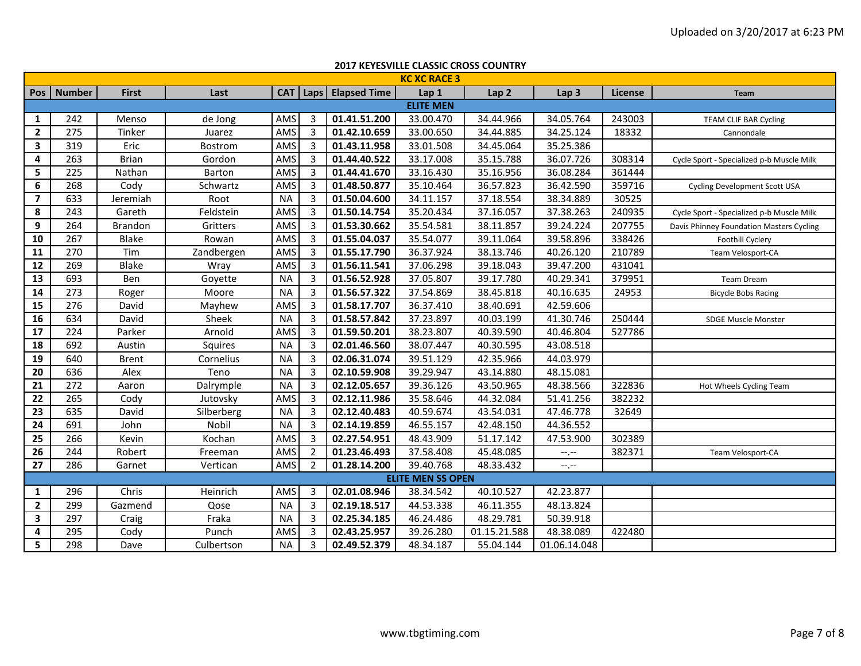|                |               |              |            |            |                |                     | <b>2017 KEYESVILLE CLASSIC CROSS COUNTRY</b> |                  |                  |                |                                           |
|----------------|---------------|--------------|------------|------------|----------------|---------------------|----------------------------------------------|------------------|------------------|----------------|-------------------------------------------|
|                |               |              |            |            |                |                     | <b>KC XC RACE 3</b>                          |                  |                  |                |                                           |
| Pos            | <b>Number</b> | <b>First</b> | Last       | <b>CAT</b> |                | Laps   Elapsed Time | Lap 1                                        | Lap <sub>2</sub> | Lap <sub>3</sub> | <b>License</b> | <b>Team</b>                               |
|                |               |              |            |            |                |                     | <b>ELITE MEN</b>                             |                  |                  |                |                                           |
| $\mathbf{1}$   | 242           | Menso        | de Jong    | AMS        | 3              | 01.41.51.200        | 33.00.470                                    | 34.44.966        | 34.05.764        | 243003         | TEAM CLIF BAR Cycling                     |
| $\overline{2}$ | 275           | Tinker       | Juarez     | AMS        | $\overline{3}$ | 01.42.10.659        | 33.00.650                                    | 34.44.885        | 34.25.124        | 18332          | Cannondale                                |
| 3              | 319           | Eric         | Bostrom    | AMS        | $\overline{3}$ | 01.43.11.958        | 33.01.508                                    | 34.45.064        | 35.25.386        |                |                                           |
| 4              | 263           | <b>Brian</b> | Gordon     | AMS        | $\overline{3}$ | 01.44.40.522        | 33.17.008                                    | 35.15.788        | 36.07.726        | 308314         | Cycle Sport - Specialized p-b Muscle Milk |
| 5              | 225           | Nathan       | Barton     | AMS        | $\overline{3}$ | 01.44.41.670        | 33.16.430                                    | 35.16.956        | 36.08.284        | 361444         |                                           |
| 6              | 268           | Cody         | Schwartz   | AMS        | $\overline{3}$ | 01.48.50.877        | 35.10.464                                    | 36.57.823        | 36.42.590        | 359716         | <b>Cycling Development Scott USA</b>      |
| $\overline{7}$ | 633           | Jeremiah     | Root       | <b>NA</b>  | 3              | 01.50.04.600        | 34.11.157                                    | 37.18.554        | 38.34.889        | 30525          |                                           |
| 8              | 243           | Gareth       | Feldstein  | AMS        | $\overline{3}$ | 01.50.14.754        | 35.20.434                                    | 37.16.057        | 37.38.263        | 240935         | Cycle Sport - Specialized p-b Muscle Milk |
| 9              | 264           | Brandon      | Gritters   | AMS        | $\overline{3}$ | 01.53.30.662        | 35.54.581                                    | 38.11.857        | 39.24.224        | 207755         | Davis Phinney Foundation Masters Cycling  |
| 10             | 267           | Blake        | Rowan      | AMS        | $\overline{3}$ | 01.55.04.037        | 35.54.077                                    | 39.11.064        | 39.58.896        | 338426         | Foothill Cyclery                          |
| 11             | 270           | Tim          | Zandbergen | AMS        | $\overline{3}$ | 01.55.17.790        | 36.37.924                                    | 38.13.746        | 40.26.120        | 210789         | Team Velosport-CA                         |
| 12             | 269           | Blake        | Wray       | AMS        | $\overline{3}$ | 01.56.11.541        | 37.06.298                                    | 39.18.043        | 39.47.200        | 431041         |                                           |
| 13             | 693           | Ben          | Goyette    | <b>NA</b>  | 3              | 01.56.52.928        | 37.05.807                                    | 39.17.780        | 40.29.341        | 379951         | Team Dream                                |
| 14             | 273           | Roger        | Moore      | <b>NA</b>  | 3              | 01.56.57.322        | 37.54.869                                    | 38.45.818        | 40.16.635        | 24953          | <b>Bicycle Bobs Racing</b>                |
| 15             | 276           | David        | Mayhew     | AMS        | $\overline{3}$ | 01.58.17.707        | 36.37.410                                    | 38.40.691        | 42.59.606        |                |                                           |
| 16             | 634           | David        | Sheek      | <b>NA</b>  | 3              | 01.58.57.842        | 37.23.897                                    | 40.03.199        | 41.30.746        | 250444         | <b>SDGE Muscle Monster</b>                |
| 17             | 224           | Parker       | Arnold     | AMS        | $\overline{3}$ | 01.59.50.201        | 38.23.807                                    | 40.39.590        | 40.46.804        | 527786         |                                           |
| 18             | 692           | Austin       | Squires    | <b>NA</b>  | $\overline{3}$ | 02.01.46.560        | 38.07.447                                    | 40.30.595        | 43.08.518        |                |                                           |
| 19             | 640           | <b>Brent</b> | Cornelius  | <b>NA</b>  | $\overline{3}$ | 02.06.31.074        | 39.51.129                                    | 42.35.966        | 44.03.979        |                |                                           |
| 20             | 636           | Alex         | Teno       | <b>NA</b>  | $\overline{3}$ | 02.10.59.908        | 39.29.947                                    | 43.14.880        | 48.15.081        |                |                                           |
| 21             | 272           | Aaron        | Dalrymple  | <b>NA</b>  | 3              | 02.12.05.657        | 39.36.126                                    | 43.50.965        | 48.38.566        | 322836         | Hot Wheels Cycling Team                   |
| 22             | 265           | Cody         | Jutovsky   | AMS        | $\overline{3}$ | 02.12.11.986        | 35.58.646                                    | 44.32.084        | 51.41.256        | 382232         |                                           |
| 23             | 635           | David        | Silberberg | <b>NA</b>  | $\overline{3}$ | 02.12.40.483        | 40.59.674                                    | 43.54.031        | 47.46.778        | 32649          |                                           |
| 24             | 691           | John         | Nobil      | <b>NA</b>  | $\overline{3}$ | 02.14.19.859        | 46.55.157                                    | 42.48.150        | 44.36.552        |                |                                           |
| 25             | 266           | Kevin        | Kochan     | AMS        | 3              | 02.27.54.951        | 48.43.909                                    | 51.17.142        | 47.53.900        | 302389         |                                           |
| 26             | 244           | Robert       | Freeman    | AMS        | $\overline{2}$ | 01.23.46.493        | 37.58.408                                    | 45.48.085        | $-1, -1$         | 382371         | Team Velosport-CA                         |
| 27             | 286           | Garnet       | Vertican   | AMS        | $\overline{2}$ | 01.28.14.200        | 39.40.768                                    | 48.33.432        | $-1, -1$         |                |                                           |
|                |               |              |            |            |                |                     | <b>ELITE MEN SS OPEN</b>                     |                  |                  |                |                                           |
| $\mathbf{1}$   | 296           | Chris        | Heinrich   | AMS        | $\overline{3}$ | 02.01.08.946        | 38.34.542                                    | 40.10.527        | 42.23.877        |                |                                           |
| $\overline{2}$ | 299           | Gazmend      | Qose       | <b>NA</b>  | $\overline{3}$ | 02.19.18.517        | 44.53.338                                    | 46.11.355        | 48.13.824        |                |                                           |
| 3              | 297           | Craig        | Fraka      | <b>NA</b>  | 3              | 02.25.34.185        | 46.24.486                                    | 48.29.781        | 50.39.918        |                |                                           |
| 4              | 295           | Cody         | Punch      | AMS        | $\overline{3}$ | 02.43.25.957        | 39.26.280                                    | 01.15.21.588     | 48.38.089        | 422480         |                                           |
| 5              | 298           | Dave         | Culbertson | <b>NA</b>  | $\overline{3}$ | 02.49.52.379        | 48.34.187                                    | 55.04.144        | 01.06.14.048     |                |                                           |